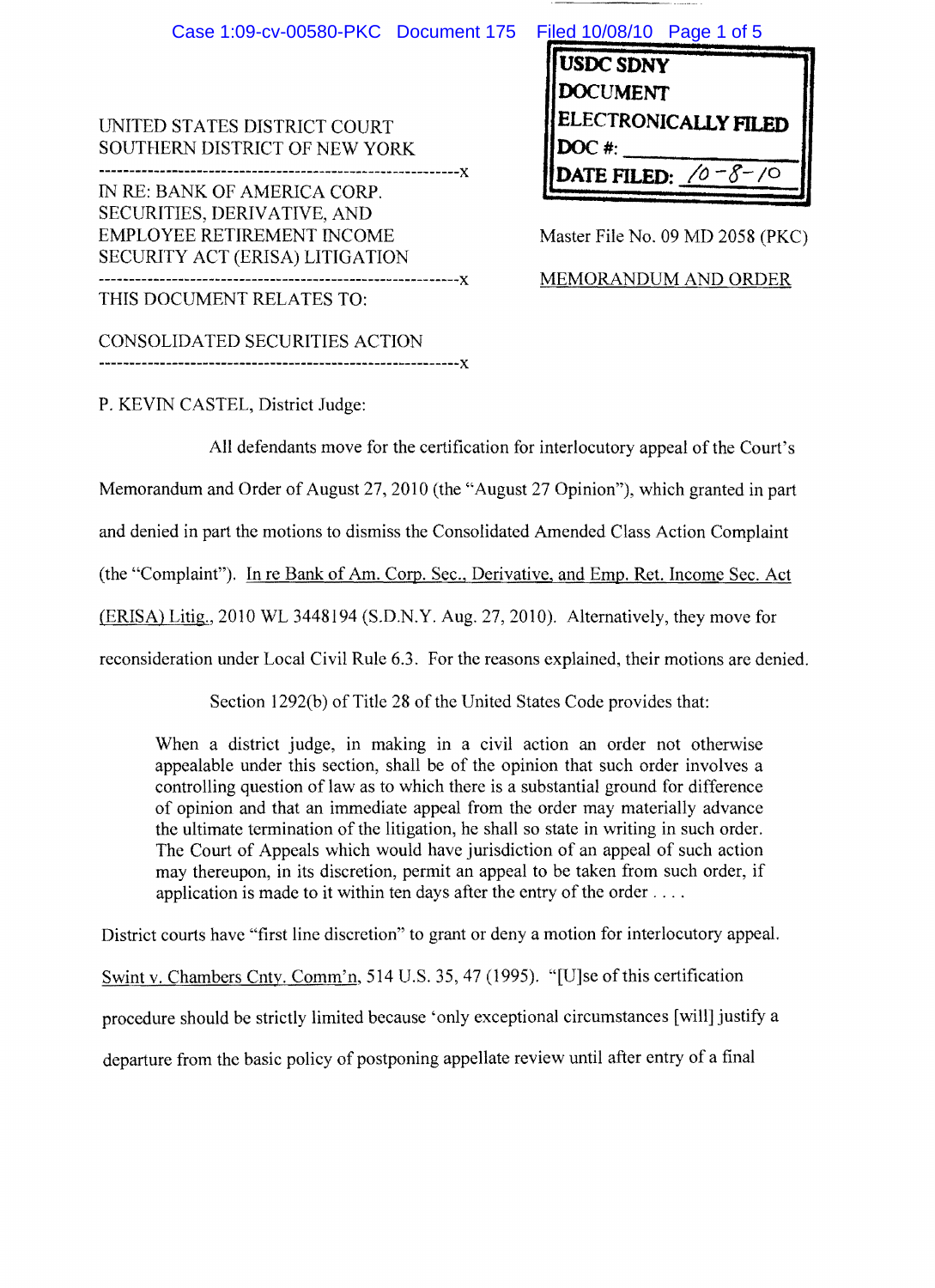| Case 1:09-cv-00580-PKC Document 175                                                                                                 | Filed 10/08/10 Page 1 of 5                                                       |
|-------------------------------------------------------------------------------------------------------------------------------------|----------------------------------------------------------------------------------|
| UNITED STATES DISTRICT COURT<br>SOUTHERN DISTRICT OF NEW YORK                                                                       | <b>USDC SDNY</b><br><b>OCUMENT</b><br><b>ELECTRONICALLY FILED</b><br>$DOC$ #:    |
| IN RE: BANK OF AMERICA CORP.<br>SECURITIES, DERIVATIVE, AND<br><b>EMPLOYEE RETIREMENT INCOME</b><br>SECURITY ACT (ERISA) LITIGATION | DATE FILED: $\sqrt{0} - \sqrt{0} - \sqrt{0}$<br>Master File No. 09 MD 2058 (PKC) |
| -----------X<br>THIS DOCUMENT RELATES TO:                                                                                           | MEMORANDUM AND ORDER                                                             |

P. KEVIN CASTEL, District Judge:

CONSOLIDATED SECURITIES ACTION

-----------------------------------------------------------)(

All defendants move for the certification for interlocutory appeal of the Court's Memorandum and Order of August 27, 2010 (the "August 27 Opinion"), which granted in part and denied in part the motions to dismiss the Consolidated Amended Class Action Complaint (the "Complaint"). In re Bank of Am. Corp. Sec., Derivative, and Emp. Ret. Income Sec. Act (ERISA) Litig., 2010 WL 3448194 (S.D.N.Y. Aug. 27, 2010). Alternatively, they move for reconsideration under Local Civil Rule 6.3. For the reasons explained, their motions are denied.

Section 1292(b) of Title 28 of the United States Code provides that:

When a district judge, in making in a civil action an order not otherwise appealable under this section, shall be of the opinion that such order involves a controlling question of law as to which there is a substantial ground for difference of opinion and that an immediate appeal from the order may materially advance the ultimate termination of the litigation, he shall so state in writing in such order. The Court of Appeals which would have jurisdiction of an appeal of such action may thereupon, in its discretion, permit an appeal to be taken from such order, if application is made to it within ten days after the entry of the order  $\dots$ .

District courts have "first line discretion" to grant or deny a motion for interlocutory appeal.

Swint v. Chambers Cnty. Comm'n, 514 U.S. 35, 47 (1995). "[U]se of this certification procedure should be strictly limited because 'only exceptional circumstances [will] justify a departure from the basic policy of postponing appellate review until after entry of a final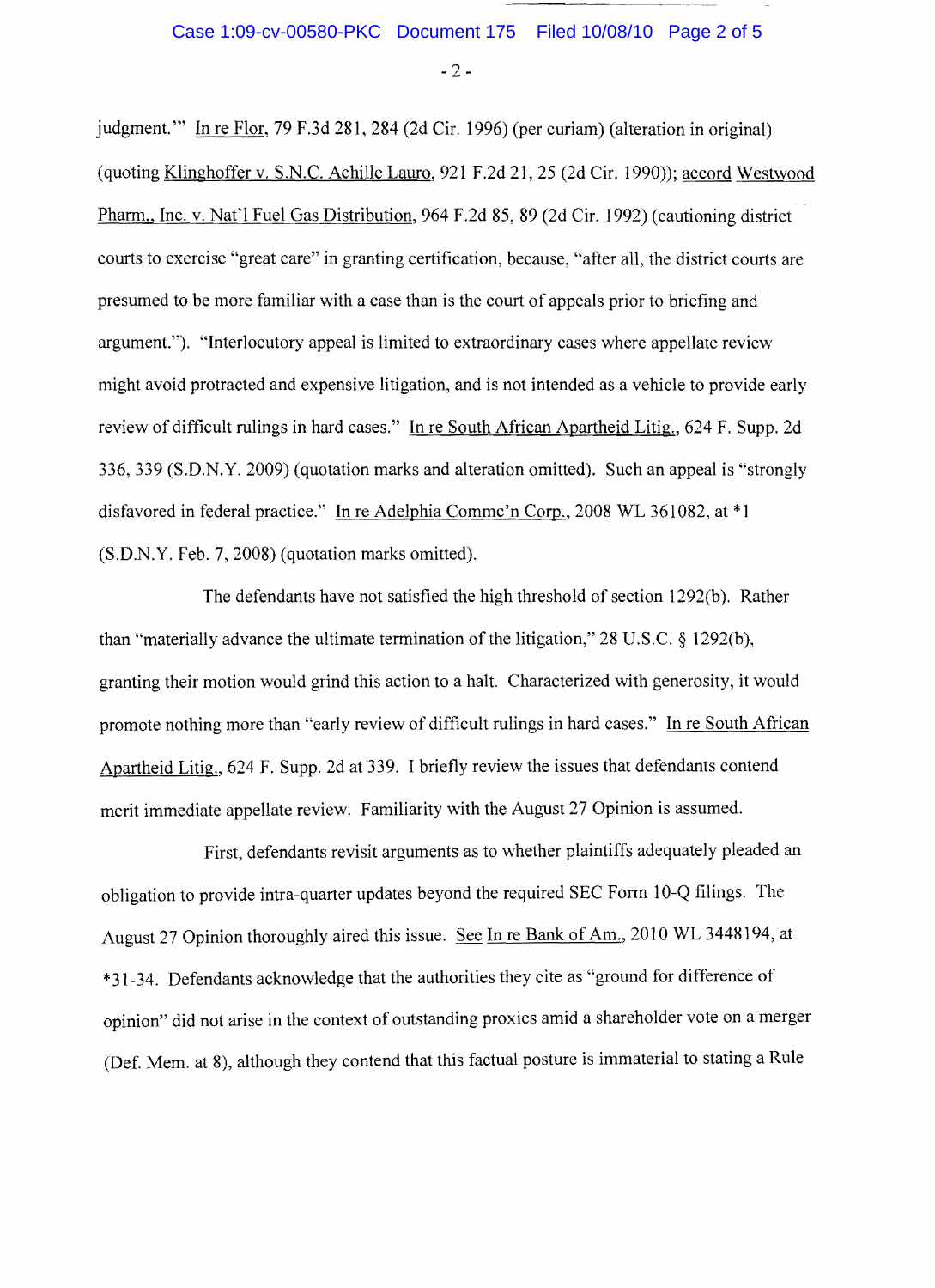## Case 1:09-cv-00580-PKC Document 175 Filed 10/08/10 Page 2 of 5

 $-2-$ 

judgment." In re Flor, 79 F.3d 281, 284 (2d Cir. 1996) (per curiam) (alteration in original) (quoting Klinghoffer v. S.N.C. Achille Lauro, 921 F.2d 21, 25 (2d Cir. 1990»; accord Westwood Pharm., Inc. v. Nat'l Fuel Gas Distribution, 964 F.2d 85, 89 (2d Cir. 1992) (cautioning district courts to exercise "great care" in granting certification, because, "after all, the district courts are presumed to be more familiar with a case than is the court of appeals prior to briefing and argument."). "Interlocutory appeal is limited to extraordinary cases where appellate review might avoid protracted and expensive litigation, and is not intended as a vehicle to provide early review of difficult rulings in hard cases." In re South African Apartheid Litig., 624 F. Supp. 2d 336,339 (S.D.N.Y. 2009) (quotation marks and alteration omitted). Such an appeal is "strongly disfavored in federal practice." In re Adelphia Commc'n Corp., 2008 WL 361082, at \* 1 (S.D.N.Y. Feb. 7, 2008) (quotation marks omitted).

The defendants have not satisfied the high threshold of section 1292(b). Rather than "materially advance the ultimate termination of the litigation,"  $28 \text{ U.S.C.} \$   $1292(b)$ , granting their motion would grind this action to a halt. Characterized with generosity, it would promote nothing more than "early review of difficult rulings in hard cases." In re South African Apartheid Litig., 624 F. Supp. 2d at 339. I briefly review the issues that defendants contend merit immediate appellate review. Familiarity with the August 27 Opinion is assumed.

First, defendants revisit arguments as to whether plaintiffs adequately pleaded an obligation to provide intra-quarter updates beyond the required SEC Form 10-Q filings. The August 27 Opinion thoroughly aired this issue. See In re Bank of Am., 2010 WL 3448194, at \*31-34. Defendants acknowledge that the authorities they cite as "ground for difference of opinion" did not arise in the context of outstanding proxies amid a shareholder vote on a merger (Def. Mem. at 8), although they contend that this factual posture is immaterial to stating a Rule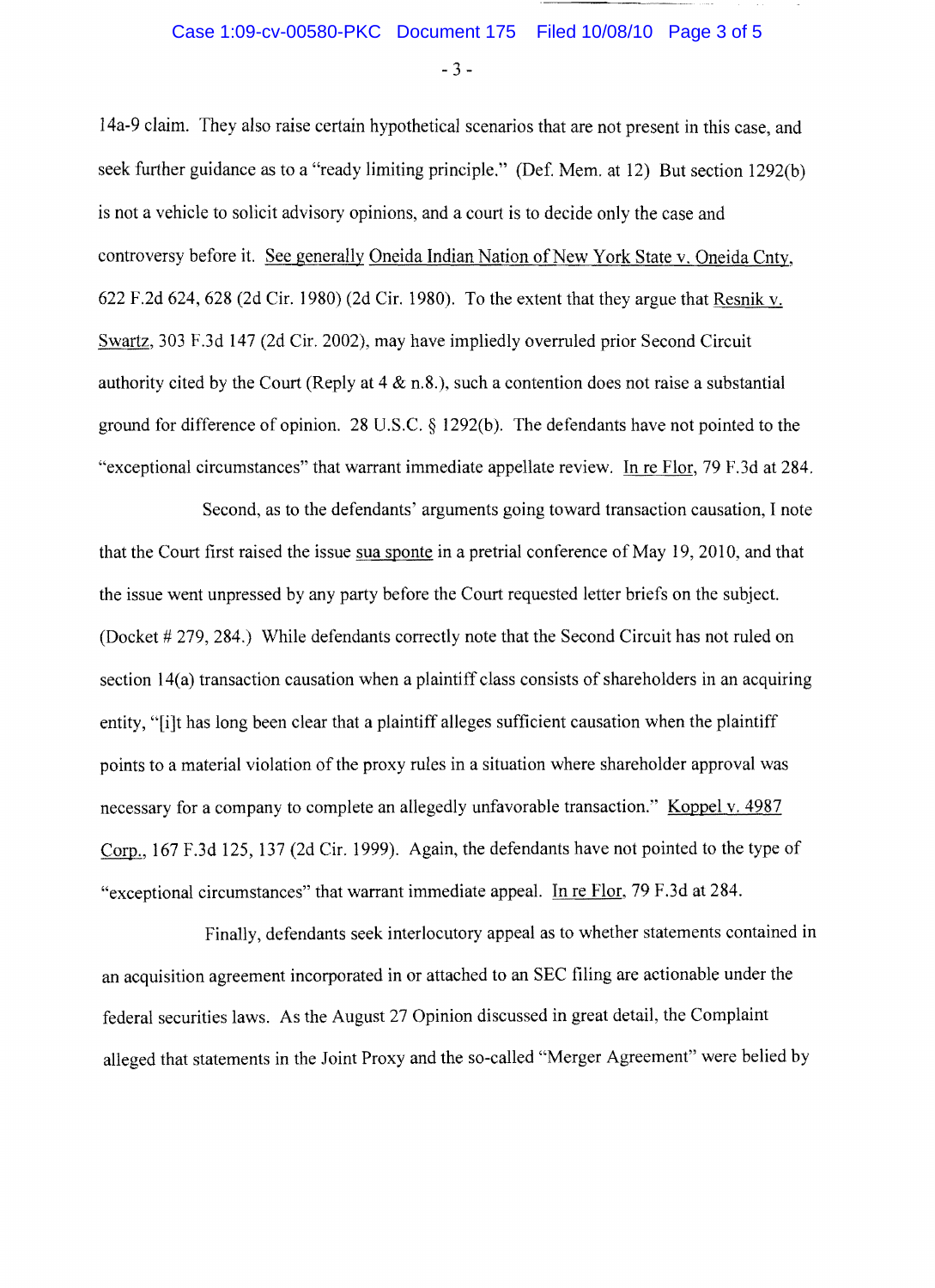$-3-$ 

14a-9 claim. They also raise certain hypothetical scenarios that are not present in this case, and seek further guidance as to a "ready limiting principle." (Def. Mem. at 12) But section 1292(b) is not a vehicle to solicit advisory opinions, and a court is to decide only the case and controversy before it. See generally Oneida Indian Nation of New York State v. Oneida Cnty, 622 F.2d 624, 628 (2d Cir. 1980) (2d Cir. 1980). To the extent that they argue that Resnik v. Swartz, 303 F.3d 147 (2d Cir. 2002), may have impliedly overruled prior Second Circuit authority cited by the Court (Reply at  $4 \& n.8$ .), such a contention does not raise a substantial ground for difference of opinion. 28 U.S.C. § 1292(b). The defendants have not pointed to the "exceptional circumstances" that warrant immediate appellate review. In re Flor, 79 F.3d at 284.

Second, as to the defendants' arguments going toward transaction causation, I note that the Court first raised the issue sua sponte in a pretrial conference of May 19, 2010, and that the issue went unpressed by any party before the Court requested letter briefs on the subject. (Docket # 279, 284.) While defendants correctly note that the Second Circuit has not ruled on section 14(a) transaction causation when a plaintiff class consists of shareholders in an acquiring entity, "[i]t has long been clear that a plaintiff alleges sufficient causation when the plaintiff points to a material violation of the proxy rules in a situation where shareholder approval was necessary for a company to complete an allegedly unfavorable transaction." Koppel v. 4987 Corp., 167 F.3d 125, 137 (2d Cir. 1999). Again, the defendants have not pointed to the type of "exceptional circumstances" that warrant immediate appeal. In re Flor, 79 F.3d at 284.

Finally, defendants seek interlocutory appeal as to whether statements contained in an acquisition agreement incorporated in or attached to an SEC filing are actionable under the federal securities laws. As the August 27 Opinion discussed in great detail, the Complaint alleged that statements in the Joint Proxy and the so-called "Merger Agreement" were belied by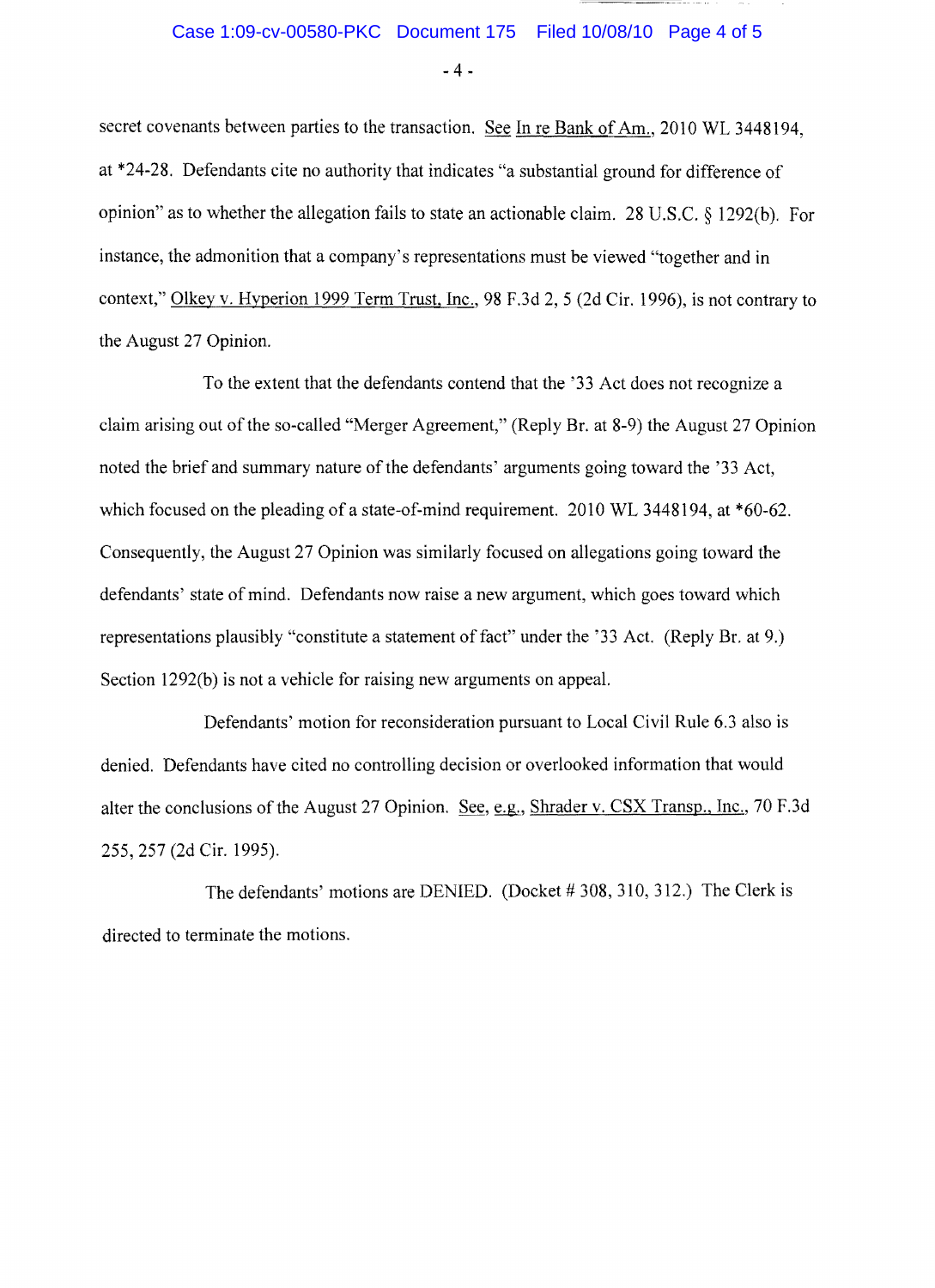$-4-$ 

secret covenants between parties to the transaction. See In re Bank of Am., 2010 WL 3448194, at \*24-28. Defendants cite no authority that indicates "a substantial ground for difference of opinion" as to whether the allegation fails to state an actionable claim. 28 U.S.c. § 1292(b). For instance, the admonition that a company's representations must be viewed "together and in context," Olkey v. Hyperion 1999 Term Trust, Inc., 98 F.3d 2, 5 (2d Cir. 1996), is not contrary to the August 27 Opinion.

To the extent that the defendants contend that the '33 Act does not recognize a claim arising out of the so-called "Merger Agreement," (Reply Br. at 8-9) the August 27 Opinion noted the brief and summary nature of the defendants' arguments going toward the '33 Act, which focused on the pleading of a state-of-mind requirement. 2010 WL 3448194, at \*60-62. Consequently, the August 27 Opinion was similarly focused on allegations going toward the defendants' state of mind. Defendants now raise a new argument, which goes toward which representations plausibly "constitute a statement of fact" under the '33 Act. (Reply Br. at 9.) Section 1292(b) is not a vehicle for raising new arguments on appeal.

Defendants' motion for reconsideration pursuant to Local Civil Rule 6.3 also is denied. Defendants have cited no controlling decision or overlooked information that would alter the conclusions of the August 27 Opinion. See, e.g., Shrader v. CSX Transp., Inc., 70 F.3d 255, 257 (2d Cir. 1995).

The defendants' motions are DENIED. (Docket # 308,310,312.) The Clerk is directed to terminate the motions.